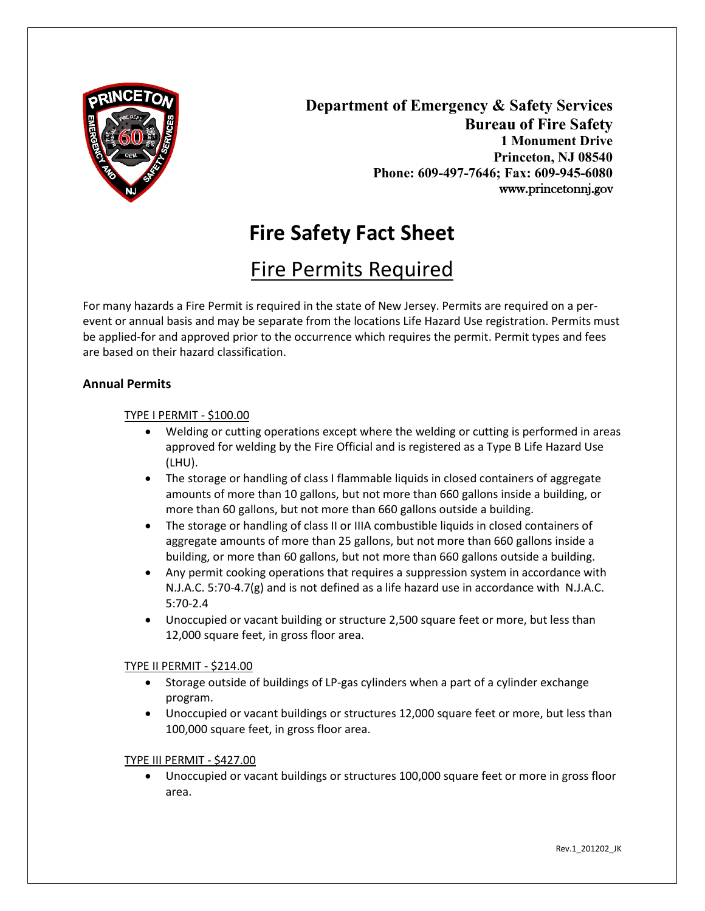

**Department of Emergency & Safety Services Bureau of Fire Safety 1 Monument Drive Princeton, NJ 08540 Phone: 609-497-7646; Fax: 609-945-6080** www.princetonnj.gov

# **Fire Safety Fact Sheet**

## Fire Permits Required

For many hazards a Fire Permit is required in the state of New Jersey. Permits are required on a perevent or annual basis and may be separate from the locations Life Hazard Use registration. Permits must be applied-for and approved prior to the occurrence which requires the permit. Permit types and fees are based on their hazard classification.

## **Annual Permits**

## TYPE I PERMIT - \$100.00

- Welding or cutting operations except where the welding or cutting is performed in areas approved for welding by the Fire Official and is registered as a Type B Life Hazard Use (LHU).
- The storage or handling of class I flammable liquids in closed containers of aggregate amounts of more than 10 gallons, but not more than 660 gallons inside a building, or more than 60 gallons, but not more than 660 gallons outside a building.
- The storage or handling of class II or IIIA combustible liquids in closed containers of aggregate amounts of more than 25 gallons, but not more than 660 gallons inside a building, or more than 60 gallons, but not more than 660 gallons outside a building.
- Any permit cooking operations that requires a suppression system in accordance with N.J.A.C. 5:70-4.7(g) and is not defined as a life hazard use in accordance with N.J.A.C. 5:70-2.4
- Unoccupied or vacant building or structure 2,500 square feet or more, but less than 12,000 square feet, in gross floor area.

## TYPE II PERMIT - \$214.00

- Storage outside of buildings of LP-gas cylinders when a part of a cylinder exchange program.
- Unoccupied or vacant buildings or structures 12,000 square feet or more, but less than 100,000 square feet, in gross floor area.

#### TYPE III PERMIT - \$427.00

• Unoccupied or vacant buildings or structures 100,000 square feet or more in gross floor area.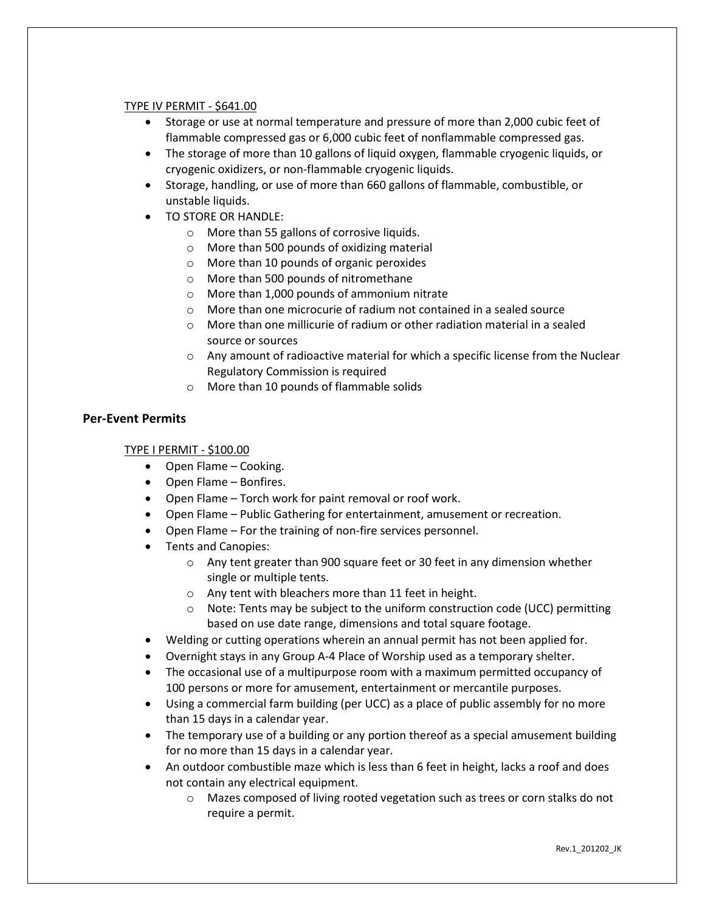#### TYPE IV PERMIT - \$641.00

- Storage or use at normal temperature and pressure of more than 2,000 cubic feet of flammable compressed gas or 6,000 cubic feet of nonflammable compressed gas.
- The storage of more than 10 gallons of liquid oxygen, flammable cryogenic liquids, or cryogenic oxidizers, or non-flammable cryogenic liquids.
- Storage, handling, or use of more than 660 gallons of flammable, combustible, or unstable liquids.
- TO STORE OR HANDLE:
	- o More than 55 gallons of corrosive liquids.
	- o More than 500 pounds of oxidizing material
	- o More than 10 pounds of organic peroxides
	- o More than 500 pounds of nitromethane
	- o More than 1,000 pounds of ammonium nitrate
	- $\circ$  More than one microcurie of radium not contained in a sealed source
	- $\circ$  More than one millicurie of radium or other radiation material in a sealed source or sources
	- $\circ$  Any amount of radioactive material for which a specific license from the Nuclear Regulatory Commission is required
	- o More than 10 pounds of flammable solids

## **Per-Event Permits**

#### TYPE I PERMIT - \$100.00

- Open Flame Cooking.
- Open Flame Bonfires.
- Open Flame Torch work for paint removal or roof work.
- Open Flame Public Gathering for entertainment, amusement or recreation.
- Open Flame For the training of non-fire services personnel.
- Tents and Canopies:
	- o Any tent greater than 900 square feet or 30 feet in any dimension whether single or multiple tents.
	- o Any tent with bleachers more than 11 feet in height.
	- $\circ$  Note: Tents may be subject to the uniform construction code (UCC) permitting based on use date range, dimensions and total square footage.
- Welding or cutting operations wherein an annual permit has not been applied for.
- Overnight stays in any Group A-4 Place of Worship used as a temporary shelter.
- The occasional use of a multipurpose room with a maximum permitted occupancy of 100 persons or more for amusement, entertainment or mercantile purposes.
- Using a commercial farm building (per UCC) as a place of public assembly for no more than 15 days in a calendar year.
- The temporary use of a building or any portion thereof as a special amusement building for no more than 15 days in a calendar year.
- An outdoor combustible maze which is less than 6 feet in height, lacks a roof and does not contain any electrical equipment.
	- o Mazes composed of living rooted vegetation such as trees or corn stalks do not require a permit.